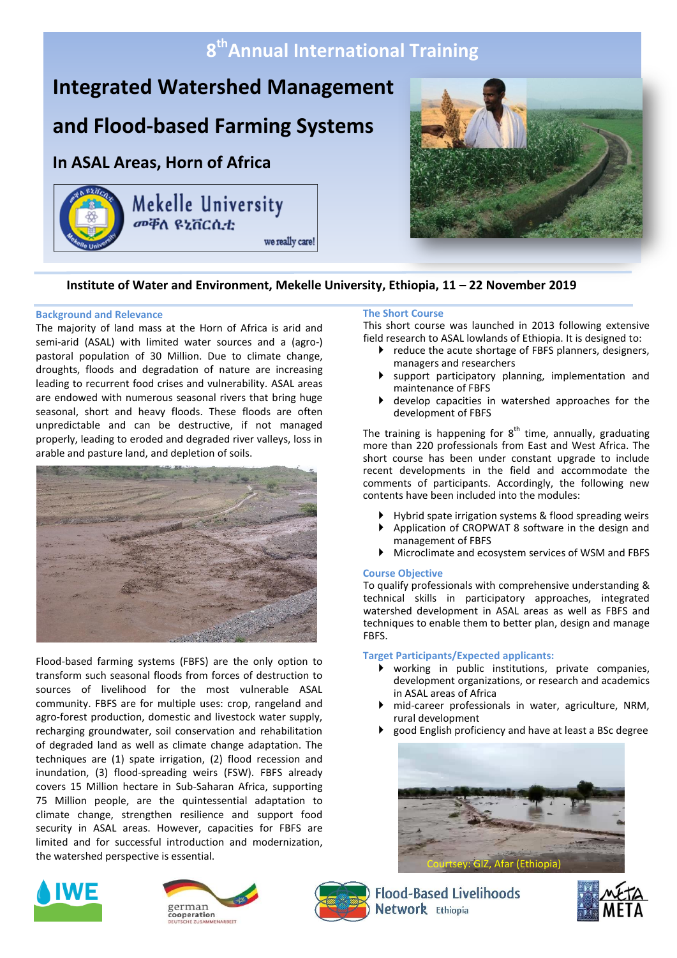## **8 thAnnual International Training**

# **Integrated Watershed Management**

## **and Flood-based Farming Systems**

### **In ASAL Areas, Horn of Africa**

Mekelle University we really care!



### **Institute of Water and Environment, Mekelle University, Ethiopia, 11 – 22 November 2019**

#### **Background and Relevance**

The majority of land mass at the Horn of Africa is arid and semi-arid (ASAL) with limited water sources and a (agro-) pastoral population of 30 Million. Due to climate change, droughts, floods and degradation of nature are increasing leading to recurrent food crises and vulnerability. ASAL areas are endowed with numerous seasonal rivers that bring huge seasonal, short and heavy floods. These floods are often unpredictable and can be destructive, if not managed properly, leading to eroded and degraded river valleys, loss in arable and pasture land, and depletion of soils.



Flood-based farming systems (FBFS) are the only option to transform such seasonal floods from forces of destruction to sources of livelihood for the most vulnerable ASAL community. FBFS are for multiple uses: crop, rangeland and agro-forest production, domestic and livestock water supply, recharging groundwater, soil conservation and rehabilitation of degraded land as well as climate change adaptation. The techniques are (1) spate irrigation, (2) flood recession and inundation, (3) flood-spreading weirs (FSW). FBFS already covers 15 Million hectare in Sub-Saharan Africa, supporting 75 Million people, are the quintessential adaptation to climate change, strengthen resilience and support food security in ASAL areas. However, capacities for FBFS are limited and for successful introduction and modernization, the watershed perspective is essential.

#### **The Short Course**

This short course was launched in 2013 following extensive field research to ASAL lowlands of Ethiopia. It is designed to:

- reduce the acute shortage of FBFS planners, designers, managers and researchers
- support participatory planning, implementation and maintenance of FBFS
- develop capacities in watershed approaches for the development of FBFS

The training is happening for  $8^{th}$  time, annually, graduating more than 220 professionals from East and West Africa. The short course has been under constant upgrade to include recent developments in the field and accommodate the comments of participants. Accordingly, the following new contents have been included into the modules:

- Hybrid spate irrigation systems & flood spreading weirs
- Application of CROPWAT 8 software in the design and management of FBFS
- Microclimate and ecosystem services of WSM and FBFS

#### **Course Objective**

To qualify professionals with comprehensive understanding & technical skills in participatory approaches, integrated watershed development in ASAL areas as well as FBFS and techniques to enable them to better plan, design and manage FBFS.

#### **Target Participants/Expected applicants:**

- working in public institutions, private companies, development organizations, or research and academics in ASAL areas of Africa
- mid-career professionals in water, agriculture, NRM, rural development
- good English proficiency and have at least a BSc degree









**Flood-Based Livelihoods** Network Ethiopia